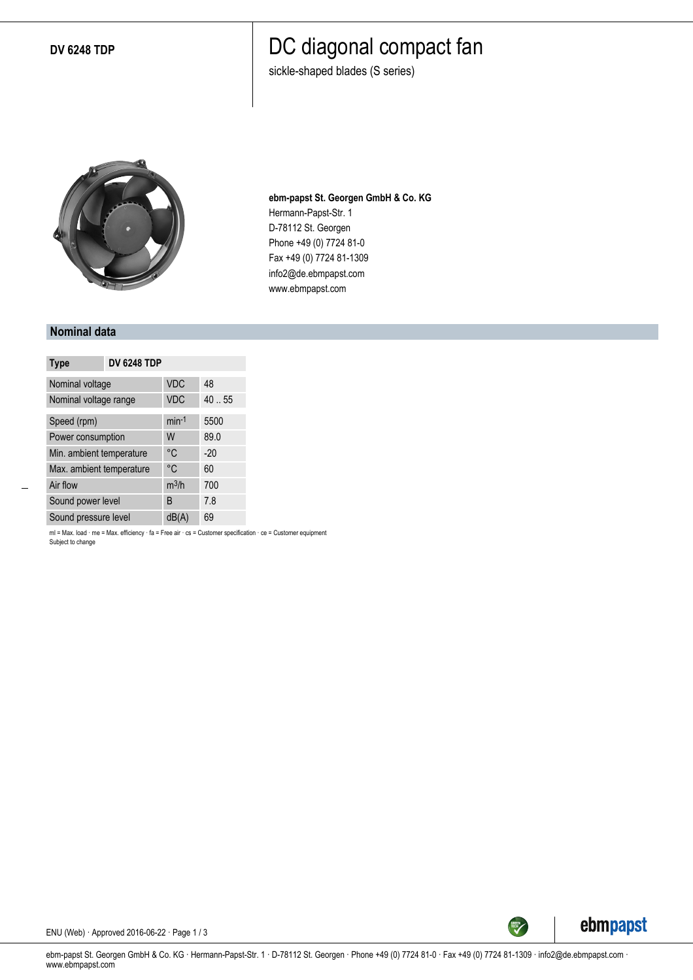**DV 6248 TDP**

### DC diagonal compact fan

sickle-shaped blades (S series)



**ebm-papst St. Georgen GmbH & Co. KG** Hermann-Papst-Str. 1 D-78112 St. Georgen Phone +49 (0) 7724 81-0 Fax +49 (0) 7724 81-1309 info2@de.ebmpapst.com www.ebmpapst.com

#### **Nominal data**

| <b>Type</b>              | <b>DV 6248 TDP</b> |            |       |
|--------------------------|--------------------|------------|-------|
| Nominal voltage          |                    | <b>VDC</b> | 48    |
| Nominal voltage range    |                    | <b>VDC</b> | 40.55 |
| Speed (rpm)              |                    | $min-1$    | 5500  |
| Power consumption        |                    | W          | 89.0  |
| Min. ambient temperature |                    | °C         | $-20$ |
| Max. ambient temperature |                    | °C         | 60    |
| Air flow                 |                    | $m^3/h$    | 700   |
| Sound power level        |                    | B          | 7.8   |
| Sound pressure level     |                    | dB(A)      | 69    |

ml = Max. load · me = Max. efficiency · fa = Free air · cs = Customer specification · ce = Customer equipment Subject to change



ENU (Web) · Approved 2016-06-22 · Page 1 / 3

ebm-papst St. Georgen GmbH & Co. KG · Hermann-Papst-Str. 1 · D-78112 St. Georgen · Phone +49 (0) 7724 81-0 · Fax +49 (0) 7724 81-1309 · info2@de.ebmpapst.com · www.ebmpapst.com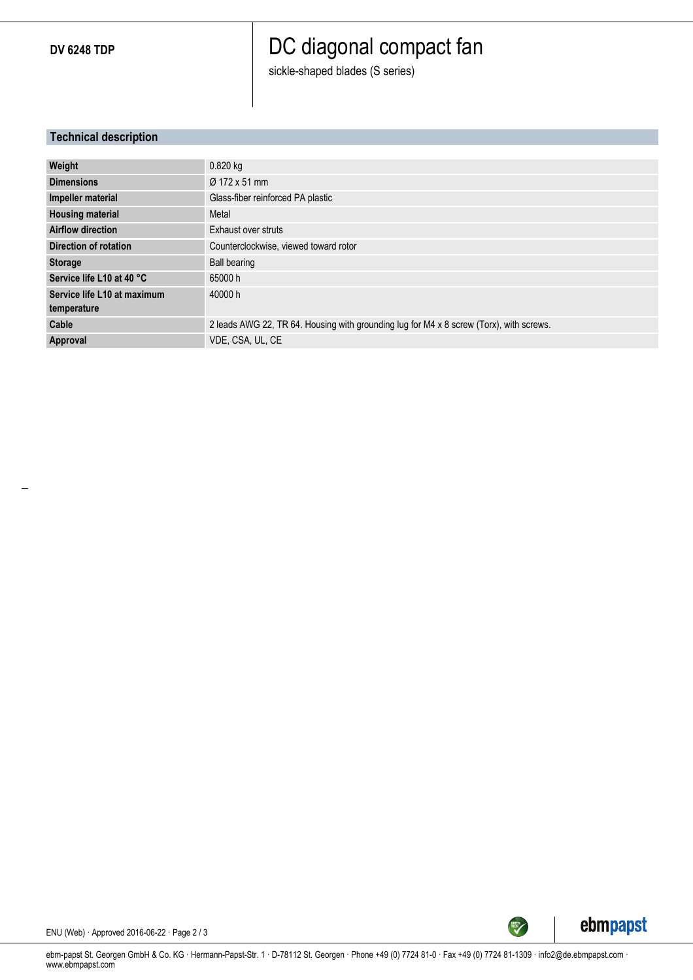**DV 6248 TDP**

## DC diagonal compact fan

sickle-shaped blades (S series)

### **Technical description**

| Weight                       | $0.820$ kg                                                                              |
|------------------------------|-----------------------------------------------------------------------------------------|
| <b>Dimensions</b>            | Ø 172 x 51 mm                                                                           |
| Impeller material            | Glass-fiber reinforced PA plastic                                                       |
| <b>Housing material</b>      | Metal                                                                                   |
| <b>Airflow direction</b>     | Exhaust over struts                                                                     |
| <b>Direction of rotation</b> | Counterclockwise, viewed toward rotor                                                   |
| <b>Storage</b>               | Ball bearing                                                                            |
| Service life L10 at 40 °C    | 65000 h                                                                                 |
| Service life L10 at maximum  | 40000 h                                                                                 |
| temperature                  |                                                                                         |
| Cable                        | 2 leads AWG 22, TR 64. Housing with grounding lug for M4 x 8 screw (Torx), with screws. |
| Approval                     | VDE, CSA, UL, CE                                                                        |



ENU (Web) · Approved 2016-06-22 · Page 2 / 3